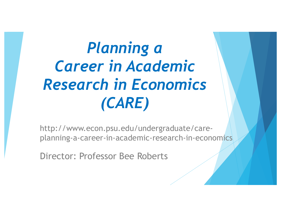# *Planning a Career in Academic Research in Economics (CARE)*

http://www.econ.psu.edu/undergraduate/careplanning-a-career-in-academic-research-in-economics

Director: Professor Bee Roberts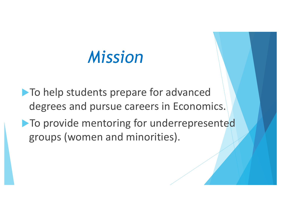# *Mission*

 $\blacktriangleright$  To help students prepare for advanced degrees and pursue careers in Economics.  $\blacktriangleright$  To provide mentoring for underrepresented groups (women and minorities).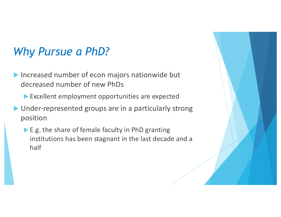## *Why Pursue a PhD?*

- $\blacktriangleright$  Increased number of econ majors nationwide but decreased number of new PhDs
	- $\blacktriangleright$  Excellent employment opportunities are expected
- $\blacktriangleright$  Under-represented groups are in a particularly strong position
	- $\blacktriangleright$  E.g. the share of female faculty in PhD granting institutions has been stagnant in the last decade and a half

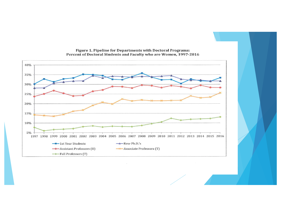

Figure 1. Pipeline for Departments with Doctoral Programs:<br>Percent of Doctoral Students and Faculty who are Women, 1997-2016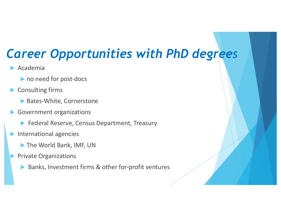## *Career Opportunities with PhD degrees*

- $\blacktriangleright$  Academia
	- $\blacktriangleright$  no need for post-docs
- $\blacktriangleright$  Consulting firms
	- Bates-White, Cornerstone
- $\blacktriangleright$  Government organizations
	- ▶ Federal Reserve, Census Department, Treasury
- $\blacktriangleright$  International agencies
	- **The World Bank, IMF, UN**
- **Private Organizations** 
	- $\blacktriangleright$  Banks, Investment firms & other for-profit ventures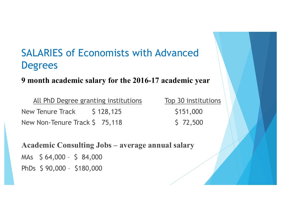## SALARIES of Economists with Advanced **Degrees**

#### **9 month academic salary for the 2016-17 academic year**

All PhD Degree granting institutions Top 30 institutions New Tenure Track  $\begin{array}{cc} 5 & 128,125 \\ \end{array}$  \$151,000 New Non-Tenure Track \$ 75,118 \$ 72,500

**Academic Consulting Jobs – average annual salary** MAs \$ 64,000 – \$ 84,000 PhDs \$ 90,000 – \$180,000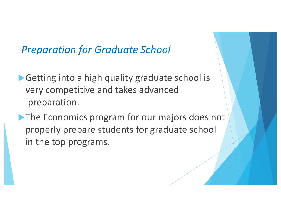### **Preparation for Graduate School**

- $\blacktriangleright$  Getting into a high quality graduate school is very competitive and takes advanced preparation.
- lacktriangleright The Economics program for our majors does not properly prepare students for graduate school in the top programs.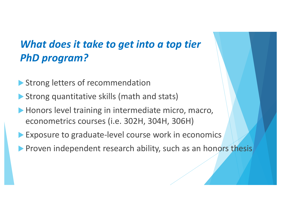## *What does it take to get into a top tier PhD program?*

- Strong letters of recommendation
- $\blacktriangleright$  Strong quantitative skills (math and stats)
- $\blacktriangleright$  Honors level training in intermediate micro, macro, econometrics courses (i.e. 302H, 304H, 306H)
- Exposure to graduate-level course work in economics
- **Proven independent research ability, such as an honors thesis**